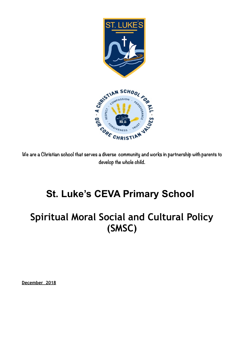



**We are a Christian school that serves a diverse community and works in partnership with parents to develop the whole child.** 

# **St. Luke's CEVA Primary School**

# **Spiritual Moral Social and Cultural Policy (SMSC)**

**December 2018**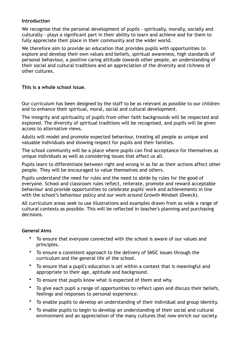#### **Introduction**

We recognise that the personal development of pupils - spiritually, morally, socially and culturally - plays a significant part in their ability to learn and achieve and for them to fully appreciate their place in their community and the wider world.

We therefore aim to provide an education that provides pupils with opportunities to explore and develop their own values and beliefs, spiritual awareness, high standards of personal behaviour, a positive caring attitude towards other people, an understanding of their social and cultural traditions and an appreciation of the diversity and richness of other cultures.

#### **This is a whole school issue.**

Our curriculum has been designed by the staff to be as relevant as possible to our children and to enhance their spiritual, moral, social and cultural development.

The integrity and spirituality of pupils from other faith backgrounds will be respected and explored. The diversity of spiritual traditions will be recognised, and pupils will be given access to alternative views.

Adults will model and promote expected behaviour, treating all people as unique and valuable individuals and showing respect for pupils and their families.

The school community will be a place where pupils can find acceptance for themselves as unique individuals as well as considering issues that affect us all.

Pupils learn to differentiate between right and wrong in as far as their actions affect other people. They will be encouraged to value themselves and others.

Pupils understand the need for rules and the need to abide by rules for the good of everyone. School and classroom rules reflect, reiterate, promote and reward acceptable behaviour and provide opportunities to celebrate pupils' work and achievements in line with the school's behaviour policy and our work around Growth Mindset (Dweck).

All curriculum areas seek to use illustrations and examples drawn from as wide a range of cultural contexts as possible. This will be reflected in teacher's planning and purchasing decisions.

## **General Aims**

- To ensure that everyone connected with the school is aware of our values and principles.
- To ensure a consistent approach to the delivery of SMSC issues through the curriculum and the general life of the school.
- To ensure that a pupil's education is set within a context that is meaningful and appropriate to their age, aptitude and background.
- To ensure that pupils know what is expected of them and why.
- To give each pupil a range of opportunities to reflect upon and discuss their beliefs, feelings and responses to personal experience.
- To enable pupils to develop an understanding of their individual and group identity.
- To enable pupils to begin to develop an understanding of their social and cultural environment and an appreciation of the many cultures that now enrich our society.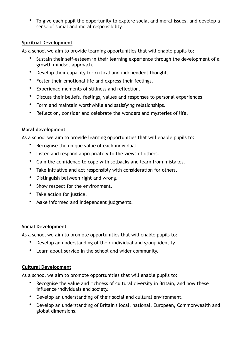• To give each pupil the opportunity to explore social and moral issues, and develop a sense of social and moral responsibility.

## **Spiritual Development**

As a school we aim to provide learning opportunities that will enable pupils to:

- Sustain their self-esteem in their learning experience through the development of a growth mindset approach.
- Develop their capacity for critical and independent thought.
- Foster their emotional life and express their feelings.
- Experience moments of stillness and reflection.
- Discuss their beliefs, feelings, values and responses to personal experiences.
- Form and maintain worthwhile and satisfying relationships.
- Reflect on, consider and celebrate the wonders and mysteries of life.

# **Moral development**

As a school we aim to provide learning opportunities that will enable pupils to:

- Recognise the unique value of each individual.
- Listen and respond appropriately to the views of others.
- Gain the confidence to cope with setbacks and learn from mistakes.
- Take initiative and act responsibly with consideration for others.
- Distinguish between right and wrong.
- Show respect for the environment.
- Take action for justice.
- Make informed and independent judgments.

## **Social Development**

As a school we aim to promote opportunities that will enable pupils to:

- Develop an understanding of their individual and group identity.
- Learn about service in the school and wider community.

## **Cultural Development**

As a school we aim to promote opportunities that will enable pupils to:

- Recognise the value and richness of cultural diversity in Britain, and how these influence individuals and society.
- Develop an understanding of their social and cultural environment.
- Develop an understanding of Britain's local, national, European, Commonwealth and global dimensions.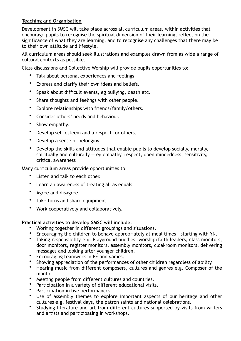# **Teaching and Organisation**

Development in SMSC will take place across all curriculum areas, within activities that encourage pupils to recognise the spiritual dimension of their learning, reflect on the significance of what they are learning, and to recognise any challenges that there may be to their own attitude and lifestyle.

All curriculum areas should seek illustrations and examples drawn from as wide a range of cultural contexts as possible.

Class discussions and Collective Worship will provide pupils opportunities to:

- Talk about personal experiences and feelings.
- Express and clarify their own ideas and beliefs.
- Speak about difficult events, eg bullying, death etc.
- Share thoughts and feelings with other people.
- Explore relationships with friends/family/others.
- Consider others' needs and behaviour.
- Show empathy.
- Develop self-esteem and a respect for others.
- Develop a sense of belonging.
- Develop the skills and attitudes that enable pupils to develop socially, morally, spiritually and culturally  $-$  eg empathy, respect, open mindedness, sensitivity, critical awareness

Many curriculum areas provide opportunities to:

- Listen and talk to each other.
- Learn an awareness of treating all as equals.
- Agree and disagree.
- Take turns and share equipment.
- Work cooperatively and collaboratively.

## **Practical activities to develop SMSC will include:**

- Working together in different groupings and situations.
- Encouraging the children to behave appropriately at meal times starting with YN.
- Taking responsibility e.g. Playground buddies, worship/faith leaders, class monitors, door monitors, register monitors, assembly monitors, cloakroom monitors, delivering messages and looking after younger children.
- Encouraging teamwork in PE and games.
- Showing appreciation of the performances of other children regardless of ability.
- Hearing music from different composers, cultures and genres e.g. Composer of the month.
- Meeting people from different cultures and countries.
- Participation in a variety of different educational visits.
- Participation in live performances.
- Use of assembly themes to explore important aspects of our heritage and other cultures e.g. festival days, the patron saints and national celebrations.
- Studying literature and art from different cultures supported by visits from writers and artists and participating in workshops.